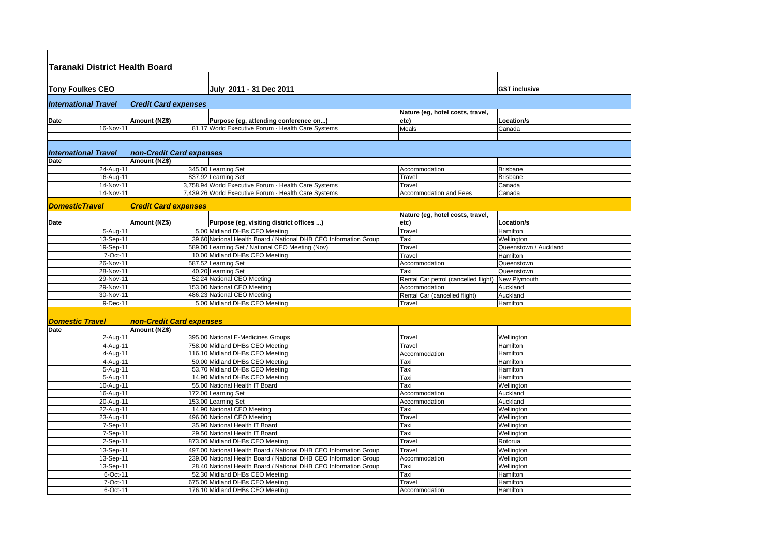| <b>Taranaki District Health Board</b> |                             |                                                                   |                                      |                       |  |
|---------------------------------------|-----------------------------|-------------------------------------------------------------------|--------------------------------------|-----------------------|--|
|                                       |                             |                                                                   |                                      |                       |  |
| <b>Tony Foulkes CEO</b>               |                             | July 2011 - 31 Dec 2011                                           |                                      | <b>GST inclusive</b>  |  |
| <b>International Travel</b>           | <b>Credit Card expenses</b> |                                                                   |                                      |                       |  |
|                                       |                             |                                                                   | Nature (eg, hotel costs, travel,     |                       |  |
| Date                                  | Amount (NZ\$)               | Purpose (eg, attending conference on)                             | etc)                                 | <b>Location/s</b>     |  |
| 16-Nov-11                             |                             | 81.17 World Executive Forum - Health Care Systems                 | Meals                                | Canada                |  |
|                                       |                             |                                                                   |                                      |                       |  |
| <b>International Travel</b>           | non-Credit Card expenses    |                                                                   |                                      |                       |  |
| <b>Date</b>                           | Amount (NZ\$)               |                                                                   |                                      |                       |  |
| $24 - Aug-11$                         |                             | 345.00 Learning Set                                               | Accommodation                        | <b>Brisbane</b>       |  |
| 16-Aug-11                             |                             | 837.92 Learning Set                                               | Travel                               | <b>Brisbane</b>       |  |
| 14-Nov-11                             |                             | 3,758.94 World Executive Forum - Health Care Systems              | Travel                               | Canada                |  |
| 14-Nov-11                             |                             | 7,439.26 World Executive Forum - Health Care Systems              | Accommodation and Fees               | Canada                |  |
| <b>DomesticTravel</b>                 | <b>Credit Card expenses</b> |                                                                   |                                      |                       |  |
|                                       |                             |                                                                   | Nature (eg, hotel costs, travel,     |                       |  |
| Date                                  | Amount (NZ\$)               | Purpose (eg, visiting district offices )                          | etc)                                 | <b>Location/s</b>     |  |
| 5-Aug-11                              |                             | 5.00 Midland DHBs CEO Meeting                                     | Travel                               | Hamilton              |  |
| 13-Sep-11                             |                             | 39.60 National Health Board / National DHB CEO Information Group  | Taxi                                 | Wellington            |  |
| 19-Sep-11                             |                             | 589.00 Learning Set / National CEO Meeting (Nov)                  | Travel                               | Queenstown / Auckland |  |
| 7-Oct-11                              |                             | 10.00 Midland DHBs CEO Meeting                                    | Travel                               | Hamilton              |  |
| 26-Nov-11                             |                             | 587.52 Learning Set                                               | Accommodation                        | Queenstown            |  |
| $28-Nov-11$                           |                             | 40.20 Learning Set                                                | Taxi                                 | Queenstown            |  |
| 29-Nov-11                             |                             | 52.24 National CEO Meeting                                        | Rental Car petrol (cancelled flight) | New Plymouth          |  |
| 29-Nov-11                             |                             | 153.00 National CEO Meeting                                       | Accommodation                        | Auckland              |  |
| 30-Nov-11                             |                             | 486.23 National CEO Meeting                                       | Rental Car (cancelled flight)        | Auckland              |  |
| 9-Dec-11                              |                             | 5.00 Midland DHBs CEO Meeting                                     | Travel                               | Hamilton              |  |
|                                       |                             |                                                                   |                                      |                       |  |
| <b>Domestic Travel</b>                | non-Credit Card expenses    |                                                                   |                                      |                       |  |
| Date                                  | Amount (NZ\$)               |                                                                   |                                      |                       |  |
| 2-Aug-11                              |                             | 395.00 National E-Medicines Groups                                | Travel                               | Wellington            |  |
| 4-Aug-11                              |                             | 758.00 Midland DHBs CEO Meeting                                   | Travel                               | Hamilton              |  |
| 4-Aug-11                              |                             | 116.10 Midland DHBs CEO Meeting                                   | Accommodation                        | Hamilton              |  |
| 4-Aug-11                              |                             | 50.00 Midland DHBs CEO Meeting                                    | Taxi                                 | Hamilton              |  |
| 5-Aug-11                              |                             | 53.70 Midland DHBs CEO Meeting                                    | Taxi                                 | Hamilton              |  |
| 5-Aug-11                              |                             | 14.90 Midland DHBs CEO Meeting                                    | Taxi                                 | Hamilton              |  |
| 10-Aug-11                             |                             | 55.00 National Health IT Board                                    | Taxi                                 | Wellington            |  |
| 16-Aug-11                             |                             | 172.00 Learning Set                                               | Accommodation                        | Auckland              |  |
| 20-Aug-11                             |                             | 153.00 Learning Set                                               | Accommodation                        | Auckland              |  |
| 22-Aug-11                             |                             | 14.90 National CEO Meeting                                        | Taxi                                 | Wellington            |  |
| 23-Aug-11                             |                             | 496.00 National CEO Meeting                                       | Travel                               | Wellington            |  |
| 7-Sep-11                              |                             | 35.90 National Health IT Board                                    | Taxi                                 | Wellington            |  |
| 7-Sep-11                              |                             | 29.50 National Health IT Board                                    | Taxi                                 | Wellington            |  |
| 2-Sep-11                              |                             | 873.00 Midland DHBs CEO Meeting                                   | Travel                               | Rotorua               |  |
| 13-Sep-11                             |                             | 497.00 National Health Board / National DHB CEO Information Group | Travel                               | Wellington            |  |
| 13-Sep-11                             |                             | 239.00 National Health Board / National DHB CEO Information Group | Accommodation                        | Wellington            |  |
| 13-Sep-11                             |                             | 28.40 National Health Board / National DHB CEO Information Group  | Taxi                                 | Wellington            |  |
| 6-Oct-11                              |                             | 52.30 Midland DHBs CEO Meeting                                    | Taxi                                 | Hamilton              |  |
| 7-Oct-11                              |                             | 675.00 Midland DHBs CEO Meeting                                   | Travel                               | Hamilton              |  |
| 6-Oct-11                              |                             | 176.10 Midland DHBs CEO Meeting                                   | Accommodation                        | Hamilton              |  |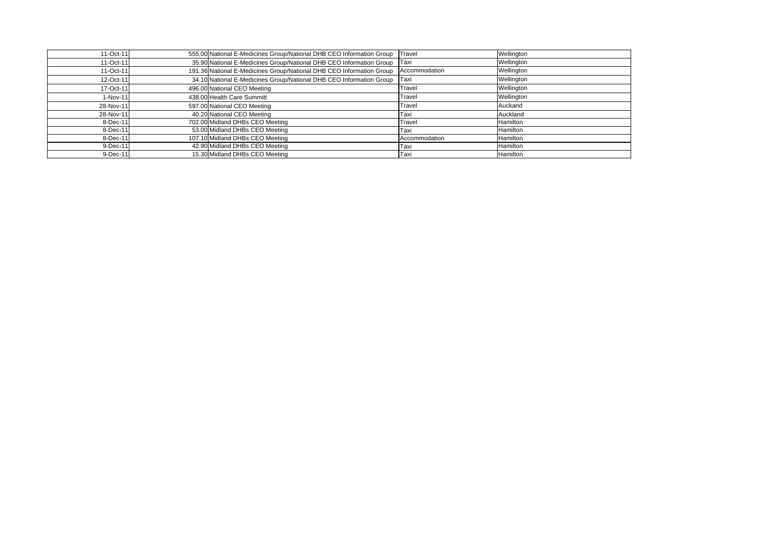| 11-Oct-11 | 555.00 National E-Medicines Group/National DHB CEO Information Group | Travel        | Wellington |
|-----------|----------------------------------------------------------------------|---------------|------------|
| 11-Oct-11 | 35.90 National E-Medicines Group/National DHB CEO Information Group  | <b>Taxi</b>   | Wellington |
| 11-Oct-11 | 191.36 National E-Medicines Group/National DHB CEO Information Group | Accommodation | Wellington |
| 12-Oct-11 | 34.10 National E-Medicines Group/National DHB CEO Information Group  | Taxi          | Wellington |
| 17-Oct-11 | 496.00 National CEO Meeting                                          | Travel        | Wellington |
| 1-Nov-11  | 438.00 Health Care Summitt                                           | Travel        | Wellington |
| 28-Nov-11 | 597.00 National CEO Meeting                                          | Travel        | Auckand    |
| 28-Nov-11 | 40.20 National CEO Meeting                                           | Taxi          | Auckland   |
| 8-Dec-11  | 702.00 Midland DHBs CEO Meeting                                      | Travel        | Hamilton   |
| 8-Dec-11  | 53.00 Midland DHBs CEO Meeting                                       | Taxi          | Hamilton   |
| 8-Dec-11  | 107.10 Midland DHBs CEO Meeting                                      | Accommodation | Hamilton   |
| 9-Dec-11  | 42.90 Midland DHBs CEO Meeting                                       | Taxi          | Hamilton   |
| 9-Dec-11  | 15.30 Midland DHBs CEO Meeting                                       | Taxi          | Hamilton   |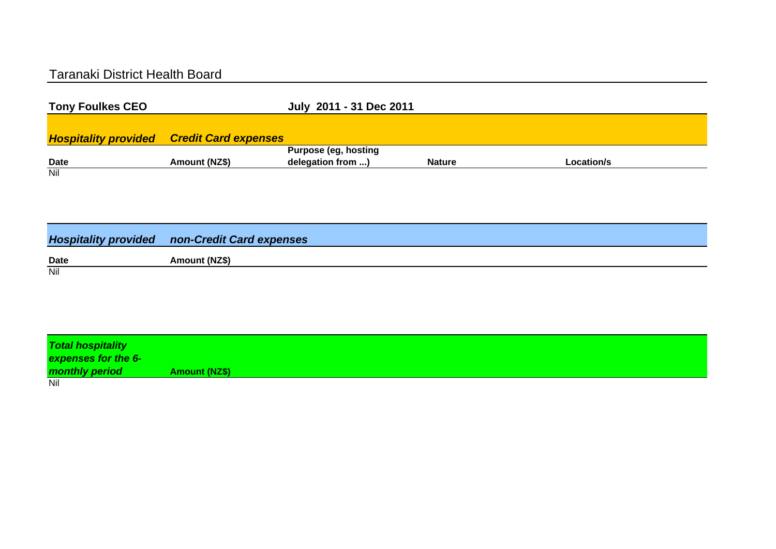## Taranaki District Health Board

| <b>Tony Foulkes CEO</b> |                                                  | July 2011 - 31 Dec 2011 |               |            |  |
|-------------------------|--------------------------------------------------|-------------------------|---------------|------------|--|
|                         |                                                  |                         |               |            |  |
|                         | <b>Hospitality provided Credit Card expenses</b> |                         |               |            |  |
|                         |                                                  | Purpose (eg, hosting    |               |            |  |
| <b>Date</b>             | Amount (NZ\$)                                    | delegation from )       | <b>Nature</b> | Location/s |  |
| $\overline{N}$          |                                                  |                         |               |            |  |

|             | <b>Hospitality provided non-Credit Card expenses</b> |
|-------------|------------------------------------------------------|
| <b>Date</b> | Amount (NZ\$)                                        |
| Nil         |                                                      |

| <b>Total hospitality</b> |               |
|--------------------------|---------------|
| expenses for the 6-      |               |
| monthly period           | Amount (NZ\$) |
| Nil                      |               |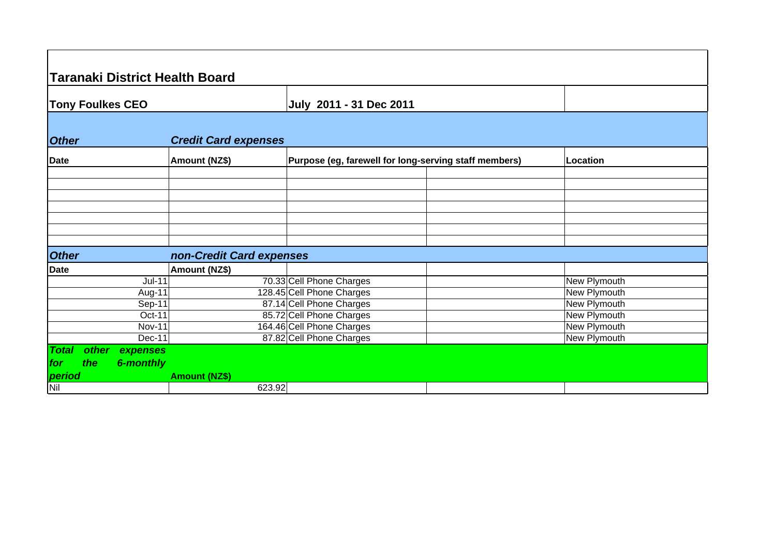|              | <b>Taranaki District Health Board</b> |                             |                                                       |                     |
|--------------|---------------------------------------|-----------------------------|-------------------------------------------------------|---------------------|
|              | <b>Tony Foulkes CEO</b>               |                             | July 2011 - 31 Dec 2011                               |                     |
| <b>Other</b> |                                       | <b>Credit Card expenses</b> |                                                       |                     |
| <b>Date</b>  |                                       | Amount (NZ\$)               | Purpose (eg, farewell for long-serving staff members) | Location            |
|              |                                       |                             |                                                       |                     |
|              |                                       |                             |                                                       |                     |
|              |                                       |                             |                                                       |                     |
|              |                                       |                             |                                                       |                     |
|              |                                       |                             |                                                       |                     |
|              |                                       |                             |                                                       |                     |
| <b>Other</b> |                                       | non-Credit Card expenses    |                                                       |                     |
| <b>Date</b>  |                                       | Amount (NZ\$)               |                                                       |                     |
|              | $Jul-11$                              | 70.33 Cell Phone Charges    |                                                       | New Plymouth        |
|              | Aug-11                                | 128.45 Cell Phone Charges   |                                                       | New Plymouth        |
|              | Sep-11                                | 87.14 Cell Phone Charges    |                                                       | New Plymouth        |
|              | Oct-11                                | 85.72 Cell Phone Charges    |                                                       | <b>New Plymouth</b> |
|              | <b>Nov-11</b>                         | 164.46 Cell Phone Charges   |                                                       | New Plymouth        |
|              | Dec-11                                | 87.82 Cell Phone Charges    |                                                       | <b>New Plymouth</b> |
| <b>Total</b> | other<br>expenses                     |                             |                                                       |                     |
| the<br>for   | <b>6-monthly</b>                      |                             |                                                       |                     |
| period       |                                       | <b>Amount (NZ\$)</b>        |                                                       |                     |
| Nil          |                                       | 623.92                      |                                                       |                     |